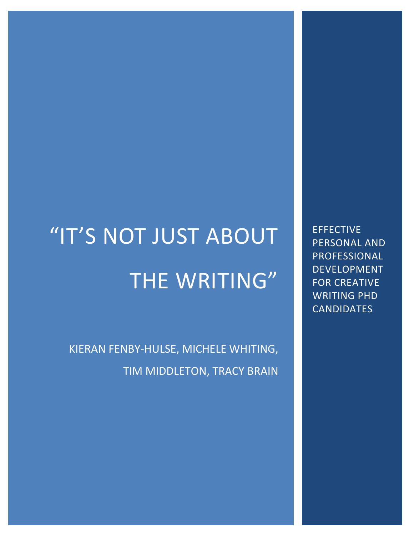# "IT'S NOT JUST ABOUT THE WRITING"

KIERAN FENBY-HULSE, MICHELE WHITING, TIM MIDDLETON, TRACY BRAIN

EFFECTIVE PERSONAL AND PROFESSIONAL DEVELOPMENT FOR CREATIVE WRITING PHD CANDIDATES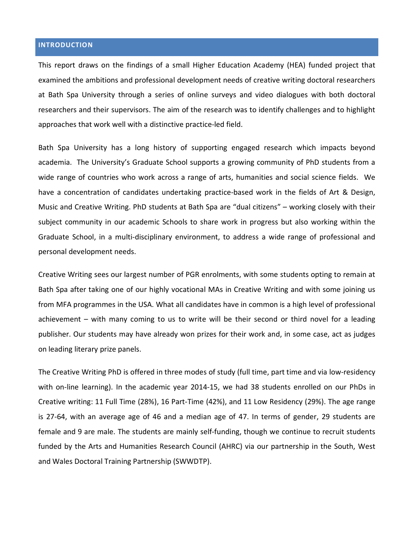# **INTRODUCTION**

This report draws on the findings of a small Higher Education Academy (HEA) funded project that examined the ambitions and professional development needs of creative writing doctoral researchers at Bath Spa University through a series of online surveys and video dialogues with both doctoral researchers and their supervisors. The aim of the research was to identify challenges and to highlight approaches that work well with a distinctive practice-led field.

Bath Spa University has a long history of supporting engaged research which impacts beyond academia. The University's Graduate School supports a growing community of PhD students from a wide range of countries who work across a range of arts, humanities and social science fields. We have a concentration of candidates undertaking practice-based work in the fields of Art & Design, Music and Creative Writing. PhD students at Bath Spa are "dual citizens" – working closely with their subject community in our academic Schools to share work in progress but also working within the Graduate School, in a multi-disciplinary environment, to address a wide range of professional and personal development needs.

Creative Writing sees our largest number of PGR enrolments, with some students opting to remain at Bath Spa after taking one of our highly vocational MAs in Creative Writing and with some joining us from MFA programmes in the USA. What all candidates have in common is a high level of professional achievement – with many coming to us to write will be their second or third novel for a leading publisher. Our students may have already won prizes for their work and, in some case, act as judges on leading literary prize panels.

The Creative Writing PhD is offered in three modes of study (full time, part time and via low-residency with on-line learning). In the academic year 2014-15, we had 38 students enrolled on our PhDs in Creative writing: 11 Full Time (28%), 16 Part-Time (42%), and 11 Low Residency (29%). The age range is 27-64, with an average age of 46 and a median age of 47. In terms of gender, 29 students are female and 9 are male. The students are mainly self-funding, though we continue to recruit students funded by the Arts and Humanities Research Council (AHRC) via our partnership in the South, West and Wales Doctoral Training Partnership (SWWDTP).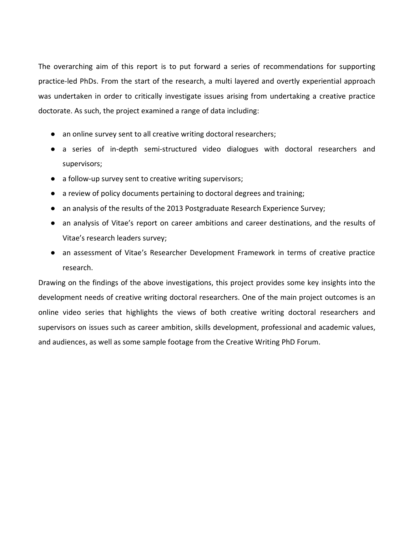The overarching aim of this report is to put forward a series of recommendations for supporting practice-led PhDs. From the start of the research, a multi layered and overtly experiential approach was undertaken in order to critically investigate issues arising from undertaking a creative practice doctorate. As such, the project examined a range of data including:

- an online survey sent to all creative writing doctoral researchers;
- a series of in-depth semi-structured video dialogues with doctoral researchers and supervisors;
- a follow-up survey sent to creative writing supervisors;
- a review of policy documents pertaining to doctoral degrees and training;
- an analysis of the results of the 2013 Postgraduate Research Experience Survey;
- an analysis of Vitae's report on career ambitions and career destinations, and the results of Vitae's research leaders survey;
- an assessment of Vitae's Researcher Development Framework in terms of creative practice research.

Drawing on the findings of the above investigations, this project provides some key insights into the development needs of creative writing doctoral researchers. One of the main project outcomes is an online video series that highlights the views of both creative writing doctoral researchers and supervisors on issues such as career ambition, skills development, professional and academic values, and audiences, as well as some sample footage from the Creative Writing PhD Forum.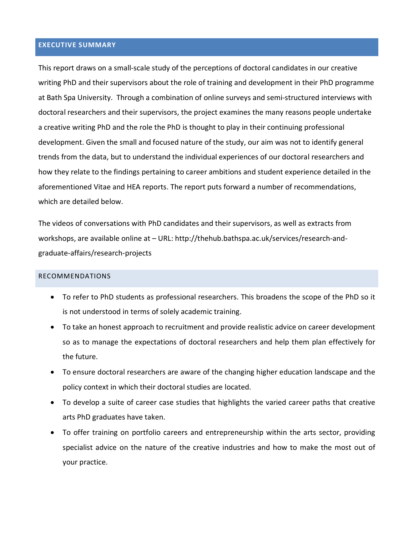# **EXECUTIVE SUMMARY**

This report draws on a small-scale study of the perceptions of doctoral candidates in our creative writing PhD and their supervisors about the role of training and development in their PhD programme at Bath Spa University. Through a combination of online surveys and semi-structured interviews with doctoral researchers and their supervisors, the project examines the many reasons people undertake a creative writing PhD and the role the PhD is thought to play in their continuing professional development. Given the small and focused nature of the study, our aim was not to identify general trends from the data, but to understand the individual experiences of our doctoral researchers and how they relate to the findings pertaining to career ambitions and student experience detailed in the aforementioned Vitae and HEA reports. The report puts forward a number of recommendations, which are detailed below.

The videos of conversations with PhD candidates and their supervisors, as well as extracts from workshops, are available online at – URL: http://thehub.bathspa.ac.uk/services/research-andgraduate-affairs/research-projects

#### RECOMMENDATIONS

- To refer to PhD students as professional researchers. This broadens the scope of the PhD so it is not understood in terms of solely academic training.
- To take an honest approach to recruitment and provide realistic advice on career development so as to manage the expectations of doctoral researchers and help them plan effectively for the future.
- To ensure doctoral researchers are aware of the changing higher education landscape and the policy context in which their doctoral studies are located.
- To develop a suite of career case studies that highlights the varied career paths that creative arts PhD graduates have taken.
- To offer training on portfolio careers and entrepreneurship within the arts sector, providing specialist advice on the nature of the creative industries and how to make the most out of your practice.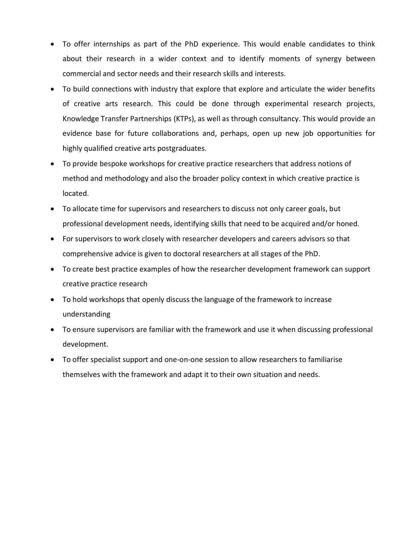- To offer internships as part of the PhD experience. This would enable candidates to think about their research in a wider context and to identify moments of synergy between commercial and sector needs and their research skills and interests.
- To build connections with industry that explore that explore and articulate the wider benefits of creative arts research. This could be done through experimental research projects, Knowledge Transfer Partnerships (KTPs), as well as through consultancy. This would provide an evidence base for future collaborations and, perhaps, open up new job opportunities for highly qualified creative arts postgraduates.
- To provide bespoke workshops for creative practice researchers that address notions of method and methodology and also the broader policy context in which creative practice is located.
- To allocate time for supervisors and researchers to discuss not only career goals, but professional development needs, identifying skills that need to be acquired and/or honed.
- For supervisors to work closely with researcher developers and careers advisors so that comprehensive advice is given to doctoral researchers at all stages of the PhD.
- To create best practice examples of how the researcher development framework can support creative practice research
- To hold workshops that openly discuss the language of the framework to increase understanding
- To ensure supervisors are familiar with the framework and use it when discussing professional development.
- To offer specialist support and one-on-one session to allow researchers to familiarise themselves with the framework and adapt it to their own situation and needs.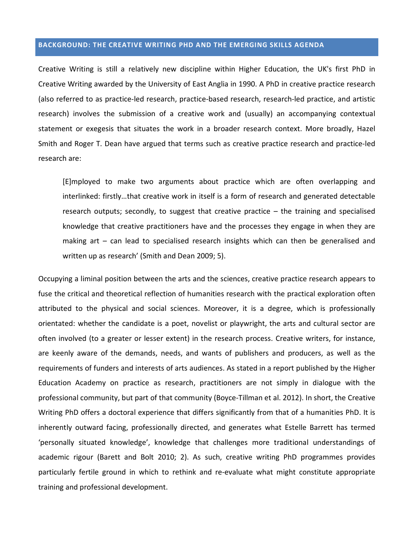## **BACKGROUND: THE CREATIVE WRITING PHD AND THE EMERGING SKILLS AGENDA**

Creative Writing is still a relatively new discipline within Higher Education, the UK's first PhD in Creative Writing awarded by the University of East Anglia in 1990. A PhD in creative practice research (also referred to as practice-led research, practice-based research, research-led practice, and artistic research) involves the submission of a creative work and (usually) an accompanying contextual statement or exegesis that situates the work in a broader research context. More broadly, Hazel Smith and Roger T. Dean have argued that terms such as creative practice research and practice-led research are:

[E]mployed to make two arguments about practice which are often overlapping and interlinked: firstly…that creative work in itself is a form of research and generated detectable research outputs; secondly, to suggest that creative practice – the training and specialised knowledge that creative practitioners have and the processes they engage in when they are making art – can lead to specialised research insights which can then be generalised and written up as research' (Smith and Dean 2009; 5).

Occupying a liminal position between the arts and the sciences, creative practice research appears to fuse the critical and theoretical reflection of humanities research with the practical exploration often attributed to the physical and social sciences. Moreover, it is a degree, which is professionally orientated: whether the candidate is a poet, novelist or playwright, the arts and cultural sector are often involved (to a greater or lesser extent) in the research process. Creative writers, for instance, are keenly aware of the demands, needs, and wants of publishers and producers, as well as the requirements of funders and interests of arts audiences. As stated in a report published by the Higher Education Academy on practice as research, practitioners are not simply in dialogue with the professional community, but part of that community (Boyce-Tillman et al. 2012). In short, the Creative Writing PhD offers a doctoral experience that differs significantly from that of a humanities PhD. It is inherently outward facing, professionally directed, and generates what Estelle Barrett has termed 'personally situated knowledge', knowledge that challenges more traditional understandings of academic rigour (Barett and Bolt 2010; 2). As such, creative writing PhD programmes provides particularly fertile ground in which to rethink and re-evaluate what might constitute appropriate training and professional development.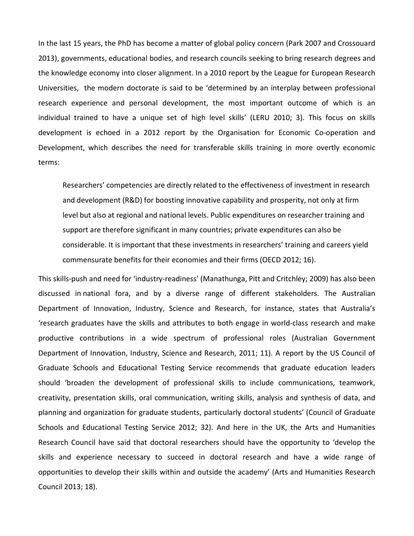In the last 15 years, the PhD has become a matter of global policy concern (Park 2007 and Crossouard 2013), governments, educational bodies, and research councils seeking to bring research degrees and the knowledge economy into closer alignment. In a 2010 report by the League for European Research Universities, the modern doctorate is said to be 'determined by an interplay between professional research experience and personal development, the most important outcome of which is an individual trained to have a unique set of high level skills' (LERU 2010; 3). This focus on skills development is echoed in a 2012 report by the Organisation for Economic Co-operation and Development, which describes the need for transferable skills training in more overtly economic terms:

Researchers' competencies are directly related to the effectiveness of investment in research and development (R&D) for boosting innovative capability and prosperity, not only at firm level but also at regional and national levels. Public expenditures on researcher training and support are therefore significant in many countries; private expenditures can also be considerable. It is important that these investments in researchers' training and careers yield commensurate benefits for their economies and their firms (OECD 2012; 16).

This skills-push and need for 'industry-readiness' (Manathunga, Pitt and Critchley; 2009) has also been discussed in national fora, and by a diverse range of different stakeholders. The Australian Department of Innovation, Industry, Science and Research, for instance, states that Australia's 'research graduates have the skills and attributes to both engage in world-class research and make productive contributions in a wide spectrum of professional roles (Australian Government Department of Innovation, Industry, Science and Research, 2011; 11). A report by the US Council of Graduate Schools and Educational Testing Service recommends that graduate education leaders should 'broaden the development of professional skills to include communications, teamwork, creativity, presentation skills, oral communication, writing skills, analysis and synthesis of data, and planning and organization for graduate students, particularly doctoral students' (Council of Graduate Schools and Educational Testing Service 2012; 32). And here in the UK, the Arts and Humanities Research Council have said that doctoral researchers should have the opportunity to 'develop the skills and experience necessary to succeed in doctoral research and have a wide range of opportunities to develop their skills within and outside the academy' (Arts and Humanities Research Council 2013; 18).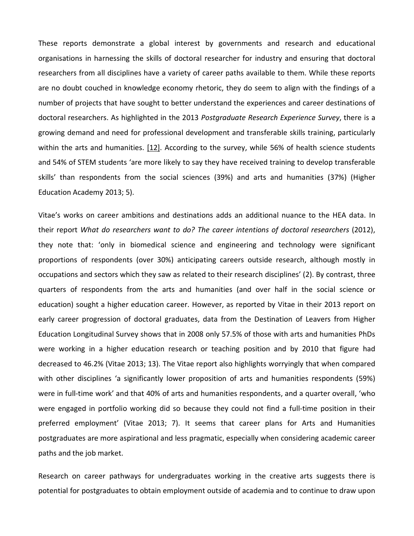These reports demonstrate a global interest by governments and research and educational organisations in harnessing the skills of doctoral researcher for industry and ensuring that doctoral researchers from all disciplines have a variety of career paths available to them. While these reports are no doubt couched in knowledge economy rhetoric, they do seem to align with the findings of a number of projects that have sought to better understand the experiences and career destinations of doctoral researchers. As highlighted in the 2013 *Postgraduate Research Experience Survey*, there is a growing demand and need for professional development and transferable skills training, particularly within the arts and humanities. [\[12\].](https://thecreativeresearcher.wordpress.com/wp-admin/post.php?post=44&action=edit#_ftn12) According to the survey, while 56% of health science students and 54% of STEM students 'are more likely to say they have received training to develop transferable skills' than respondents from the social sciences (39%) and arts and humanities (37%) (Higher Education Academy 2013; 5).

Vitae's works on career ambitions and destinations adds an additional nuance to the HEA data. In their report *What do researchers want to do? The career intentions of doctoral researchers* (2012), they note that: 'only in biomedical science and engineering and technology were significant proportions of respondents (over 30%) anticipating careers outside research, although mostly in occupations and sectors which they saw as related to their research disciplines' (2). By contrast, three quarters of respondents from the arts and humanities (and over half in the social science or education) sought a higher education career. However, as reported by Vitae in their 2013 report on early career progression of doctoral graduates, data from the Destination of Leavers from Higher Education Longitudinal Survey shows that in 2008 only 57.5% of those with arts and humanities PhDs were working in a higher education research or teaching position and by 2010 that figure had decreased to 46.2% (Vitae 2013; 13). The Vitae report also highlights worryingly that when compared with other disciplines 'a significantly lower proposition of arts and humanities respondents (59%) were in full-time work' and that 40% of arts and humanities respondents, and a quarter overall, 'who were engaged in portfolio working did so because they could not find a full-time position in their preferred employment' (Vitae 2013; 7). It seems that career plans for Arts and Humanities postgraduates are more aspirational and less pragmatic, especially when considering academic career paths and the job market.

Research on career pathways for undergraduates working in the creative arts suggests there is potential for postgraduates to obtain employment outside of academia and to continue to draw upon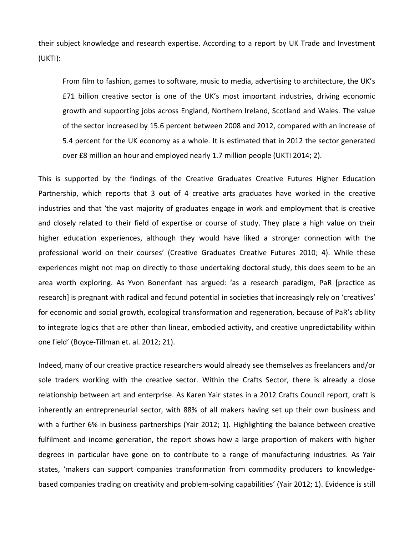their subject knowledge and research expertise. According to a report by UK Trade and Investment (UKTI):

From film to fashion, games to software, music to media, advertising to architecture, the UK's £71 billion creative sector is one of the UK's most important industries, driving economic growth and supporting jobs across England, Northern Ireland, Scotland and Wales. The value of the sector increased by 15.6 percent between 2008 and 2012, compared with an increase of 5.4 percent for the UK economy as a whole. It is estimated that in 2012 the sector generated over £8 million an hour and employed nearly 1.7 million people (UKTI 2014; 2).

This is supported by the findings of the Creative Graduates Creative Futures Higher Education Partnership, which reports that 3 out of 4 creative arts graduates have worked in the creative industries and that 'the vast majority of graduates engage in work and employment that is creative and closely related to their field of expertise or course of study. They place a high value on their higher education experiences, although they would have liked a stronger connection with the professional world on their courses' (Creative Graduates Creative Futures 2010; 4). While these experiences might not map on directly to those undertaking doctoral study, this does seem to be an area worth exploring. As Yvon Bonenfant has argued: 'as a research paradigm, PaR [practice as research] is pregnant with radical and fecund potential in societies that increasingly rely on 'creatives' for economic and social growth, ecological transformation and regeneration, because of PaR's ability to integrate logics that are other than linear, embodied activity, and creative unpredictability within one field' (Boyce-Tillman et. al. 2012; 21).

Indeed, many of our creative practice researchers would already see themselves as freelancers and/or sole traders working with the creative sector. Within the Crafts Sector, there is already a close relationship between art and enterprise. As Karen Yair states in a 2012 Crafts Council report, craft is inherently an entrepreneurial sector, with 88% of all makers having set up their own business and with a further 6% in business partnerships (Yair 2012; 1). Highlighting the balance between creative fulfilment and income generation, the report shows how a large proportion of makers with higher degrees in particular have gone on to contribute to a range of manufacturing industries. As Yair states, 'makers can support companies transformation from commodity producers to knowledgebased companies trading on creativity and problem-solving capabilities' (Yair 2012; 1). Evidence is still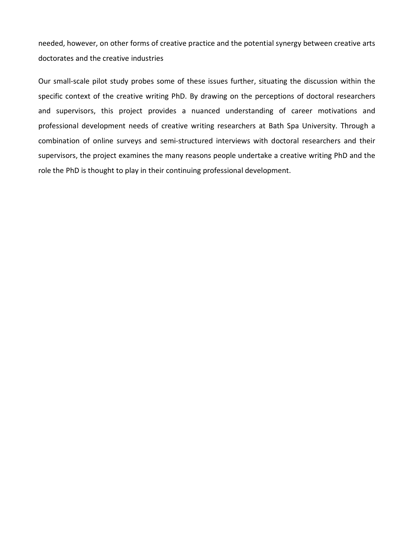needed, however, on other forms of creative practice and the potential synergy between creative arts doctorates and the creative industries

Our small-scale pilot study probes some of these issues further, situating the discussion within the specific context of the creative writing PhD. By drawing on the perceptions of doctoral researchers and supervisors, this project provides a nuanced understanding of career motivations and professional development needs of creative writing researchers at Bath Spa University. Through a combination of online surveys and semi-structured interviews with doctoral researchers and their supervisors, the project examines the many reasons people undertake a creative writing PhD and the role the PhD is thought to play in their continuing professional development.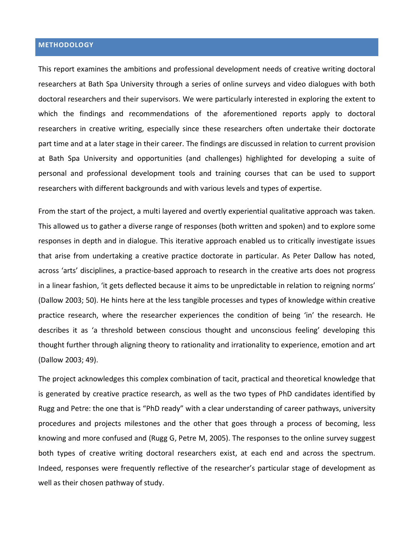# **METHODOLOGY**

This report examines the ambitions and professional development needs of creative writing doctoral researchers at Bath Spa University through a series of online surveys and video dialogues with both doctoral researchers and their supervisors. We were particularly interested in exploring the extent to which the findings and recommendations of the aforementioned reports apply to doctoral researchers in creative writing, especially since these researchers often undertake their doctorate part time and at a later stage in their career. The findings are discussed in relation to current provision at Bath Spa University and opportunities (and challenges) highlighted for developing a suite of personal and professional development tools and training courses that can be used to support researchers with different backgrounds and with various levels and types of expertise.

From the start of the project, a multi layered and overtly experiential qualitative approach was taken. This allowed us to gather a diverse range of responses (both written and spoken) and to explore some responses in depth and in dialogue. This iterative approach enabled us to critically investigate issues that arise from undertaking a creative practice doctorate in particular. As Peter Dallow has noted, across 'arts' disciplines, a practice-based approach to research in the creative arts does not progress in a linear fashion, 'it gets deflected because it aims to be unpredictable in relation to reigning norms' (Dallow 2003; 50). He hints here at the less tangible processes and types of knowledge within creative practice research, where the researcher experiences the condition of being 'in' the research. He describes it as 'a threshold between conscious thought and unconscious feeling' developing this thought further through aligning theory to rationality and irrationality to experience, emotion and art (Dallow 2003; 49).

The project acknowledges this complex combination of tacit, practical and theoretical knowledge that is generated by creative practice research, as well as the two types of PhD candidates identified by Rugg and Petre: the one that is "PhD ready" with a clear understanding of career pathways, university procedures and projects milestones and the other that goes through a process of becoming, less knowing and more confused and (Rugg G, Petre M, 2005). The responses to the online survey suggest both types of creative writing doctoral researchers exist, at each end and across the spectrum. Indeed, responses were frequently reflective of the researcher's particular stage of development as well as their chosen pathway of study.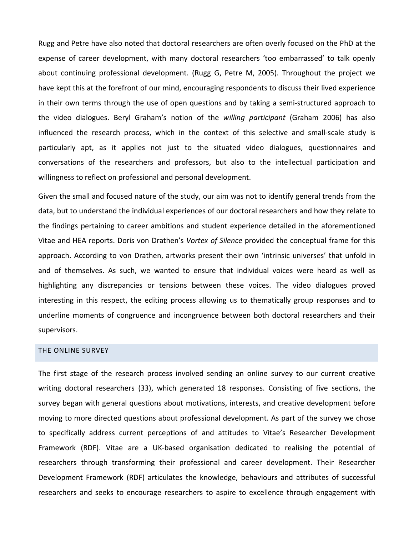Rugg and Petre have also noted that doctoral researchers are often overly focused on the PhD at the expense of career development, with many doctoral researchers 'too embarrassed' to talk openly about continuing professional development. (Rugg G, Petre M, 2005). Throughout the project we have kept this at the forefront of our mind, encouraging respondents to discuss their lived experience in their own terms through the use of open questions and by taking a semi-structured approach to the video dialogues. Beryl Graham's notion of the *willing participant* (Graham 2006) has also influenced the research process, which in the context of this selective and small-scale study is particularly apt, as it applies not just to the situated video dialogues, questionnaires and conversations of the researchers and professors, but also to the intellectual participation and willingness to reflect on professional and personal development.

Given the small and focused nature of the study, our aim was not to identify general trends from the data, but to understand the individual experiences of our doctoral researchers and how they relate to the findings pertaining to career ambitions and student experience detailed in the aforementioned Vitae and HEA reports. Doris von Drathen's *Vortex of Silence* provided the conceptual frame for this approach. According to von Drathen, artworks present their own 'intrinsic universes' that unfold in and of themselves. As such, we wanted to ensure that individual voices were heard as well as highlighting any discrepancies or tensions between these voices. The video dialogues proved interesting in this respect, the editing process allowing us to thematically group responses and to underline moments of congruence and incongruence between both doctoral researchers and their supervisors.

#### THE ONLINE SURVEY

The first stage of the research process involved sending an online survey to our current creative writing doctoral researchers (33), which generated 18 responses. Consisting of five sections, the survey began with general questions about motivations, interests, and creative development before moving to more directed questions about professional development. As part of the survey we chose to specifically address current perceptions of and attitudes to Vitae's Researcher Development Framework (RDF). Vitae are a UK-based organisation dedicated to realising the potential of researchers through transforming their professional and career development. Their Researcher Development Framework (RDF) articulates the knowledge, behaviours and attributes of successful researchers and seeks to encourage researchers to aspire to excellence through engagement with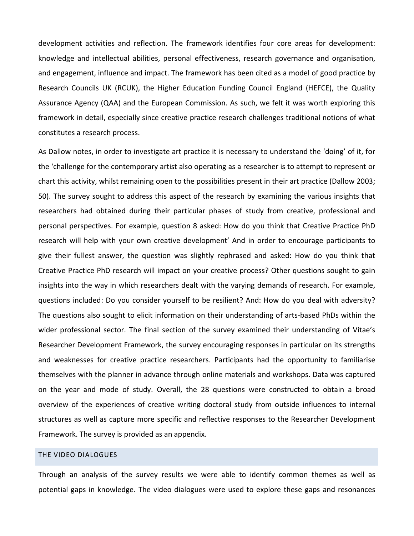development activities and reflection. The framework identifies four core areas for development: knowledge and intellectual abilities, personal effectiveness, research governance and organisation, and engagement, influence and impact. The framework has been cited as a model of good practice by Research Councils UK (RCUK), the Higher Education Funding Council England (HEFCE), the Quality Assurance Agency (QAA) and the European Commission. As such, we felt it was worth exploring this framework in detail, especially since creative practice research challenges traditional notions of what constitutes a research process.

As Dallow notes, in order to investigate art practice it is necessary to understand the 'doing' of it, for the 'challenge for the contemporary artist also operating as a researcher is to attempt to represent or chart this activity, whilst remaining open to the possibilities present in their art practice (Dallow 2003; 50). The survey sought to address this aspect of the research by examining the various insights that researchers had obtained during their particular phases of study from creative, professional and personal perspectives. For example, question 8 asked: How do you think that Creative Practice PhD research will help with your own creative development' And in order to encourage participants to give their fullest answer, the question was slightly rephrased and asked: How do you think that Creative Practice PhD research will impact on your creative process? Other questions sought to gain insights into the way in which researchers dealt with the varying demands of research. For example, questions included: Do you consider yourself to be resilient? And: How do you deal with adversity? The questions also sought to elicit information on their understanding of arts-based PhDs within the wider professional sector. The final section of the survey examined their understanding of Vitae's Researcher Development Framework, the survey encouraging responses in particular on its strengths and weaknesses for creative practice researchers. Participants had the opportunity to familiarise themselves with the planner in advance through online materials and workshops. Data was captured on the year and mode of study. Overall, the 28 questions were constructed to obtain a broad overview of the experiences of creative writing doctoral study from outside influences to internal structures as well as capture more specific and reflective responses to the Researcher Development Framework. The survey is provided as an appendix.

## THE VIDEO DIALOGUES

Through an analysis of the survey results we were able to identify common themes as well as potential gaps in knowledge. The video dialogues were used to explore these gaps and resonances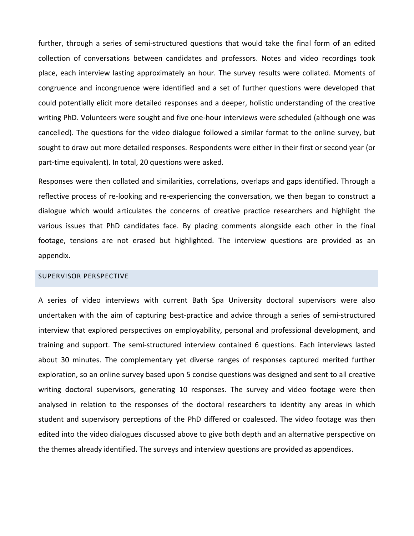further, through a series of semi-structured questions that would take the final form of an edited collection of conversations between candidates and professors. Notes and video recordings took place, each interview lasting approximately an hour. The survey results were collated. Moments of congruence and incongruence were identified and a set of further questions were developed that could potentially elicit more detailed responses and a deeper, holistic understanding of the creative writing PhD. Volunteers were sought and five one-hour interviews were scheduled (although one was cancelled). The questions for the video dialogue followed a similar format to the online survey, but sought to draw out more detailed responses. Respondents were either in their first or second year (or part-time equivalent). In total, 20 questions were asked.

Responses were then collated and similarities, correlations, overlaps and gaps identified. Through a reflective process of re-looking and re-experiencing the conversation, we then began to construct a dialogue which would articulates the concerns of creative practice researchers and highlight the various issues that PhD candidates face. By placing comments alongside each other in the final footage, tensions are not erased but highlighted. The interview questions are provided as an appendix.

#### SUPERVISOR PERSPECTIVE

A series of video interviews with current Bath Spa University doctoral supervisors were also undertaken with the aim of capturing best-practice and advice through a series of semi-structured interview that explored perspectives on employability, personal and professional development, and training and support. The semi-structured interview contained 6 questions. Each interviews lasted about 30 minutes. The complementary yet diverse ranges of responses captured merited further exploration, so an online survey based upon 5 concise questions was designed and sent to all creative writing doctoral supervisors, generating 10 responses. The survey and video footage were then analysed in relation to the responses of the doctoral researchers to identity any areas in which student and supervisory perceptions of the PhD differed or coalesced. The video footage was then edited into the video dialogues discussed above to give both depth and an alternative perspective on the themes already identified. The surveys and interview questions are provided as appendices.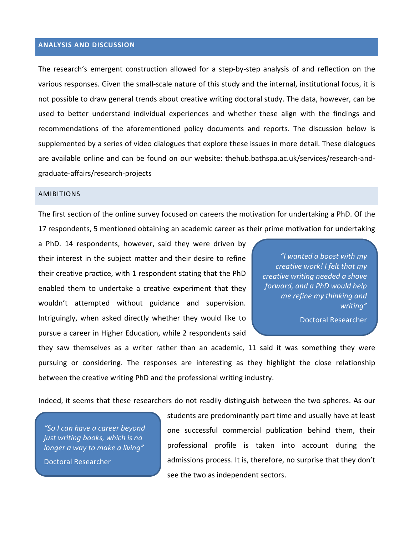## **ANALYSIS AND DISCUSSION**

The research's emergent construction allowed for a step-by-step analysis of and reflection on the various responses. Given the small-scale nature of this study and the internal, institutional focus, it is not possible to draw general trends about creative writing doctoral study. The data, however, can be used to better understand individual experiences and whether these align with the findings and recommendations of the aforementioned policy documents and reports. The discussion below is supplemented by a series of video dialogues that explore these issues in more detail. These dialogues are available online and can be found on our website: thehub.bathspa.ac.uk/services/research-andgraduate-affairs/research-projects

#### AMIBITIONS

The first section of the online survey focused on careers the motivation for undertaking a PhD. Of the 17 respondents, 5 mentioned obtaining an academic career as their prime motivation for undertaking

a PhD. 14 respondents, however, said they were driven by their interest in the subject matter and their desire to refine their creative practice, with 1 respondent stating that the PhD enabled them to undertake a creative experiment that they wouldn't attempted without guidance and supervision. Intriguingly, when asked directly whether they would like to pursue a career in Higher Education, while 2 respondents said

*"I wanted a boost with my creative work! I felt that my creative writing needed a shove forward, and a PhD would help me refine my thinking and writing"*

Doctoral Researcher

they saw themselves as a writer rather than an academic, 11 said it was something they were pursuing or considering. The responses are interesting as they highlight the close relationship between the creative writing PhD and the professional writing industry.

Indeed, it seems that these researchers do not readily distinguish between the two spheres. As our

*"So I can have a career beyond just writing books, which is no longer a way to make a living"*

Doctoral Researcher

students are predominantly part time and usually have at least one successful commercial publication behind them, their professional profile is taken into account during the admissions process. It is, therefore, no surprise that they don't see the two as independent sectors.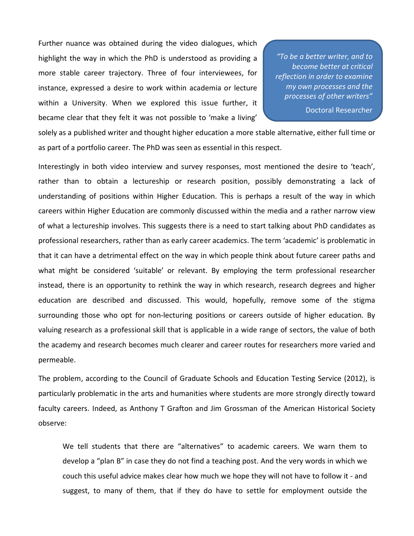Further nuance was obtained during the video dialogues, which highlight the way in which the PhD is understood as providing a more stable career trajectory. Three of four interviewees, for instance, expressed a desire to work within academia or lecture within a University. When we explored this issue further, it became clear that they felt it was not possible to 'make a living'

*"To be a better writer, and to become better at critical reflection in order to examine my own processes and the processes of other writers"*

Doctoral Researcher

solely as a published writer and thought higher education a more stable alternative, either full time or as part of a portfolio career. The PhD was seen as essential in this respect.

Interestingly in both video interview and survey responses, most mentioned the desire to 'teach', rather than to obtain a lectureship or research position, possibly demonstrating a lack of understanding of positions within Higher Education. This is perhaps a result of the way in which careers within Higher Education are commonly discussed within the media and a rather narrow view of what a lectureship involves. This suggests there is a need to start talking about PhD candidates as professional researchers, rather than as early career academics. The term 'academic' is problematic in that it can have a detrimental effect on the way in which people think about future career paths and what might be considered 'suitable' or relevant. By employing the term professional researcher instead, there is an opportunity to rethink the way in which research, research degrees and higher education are described and discussed. This would, hopefully, remove some of the stigma surrounding those who opt for non-lecturing positions or careers outside of higher education. By valuing research as a professional skill that is applicable in a wide range of sectors, the value of both the academy and research becomes much clearer and career routes for researchers more varied and permeable.

The problem, according to the Council of Graduate Schools and Education Testing Service (2012), is particularly problematic in the arts and humanities where students are more strongly directly toward faculty careers. Indeed, as Anthony T Grafton and Jim Grossman of the American Historical Society observe:

We tell students that there are "alternatives" to academic careers. We warn them to develop a "plan B" in case they do not find a teaching post. And the very words in which we couch this useful advice makes clear how much we hope they will not have to follow it - and suggest, to many of them, that if they do have to settle for employment outside the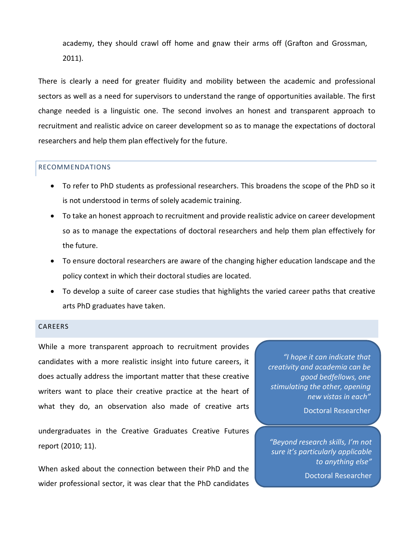academy, they should crawl off home and gnaw their arms off (Grafton and Grossman, 2011).

There is clearly a need for greater fluidity and mobility between the academic and professional sectors as well as a need for supervisors to understand the range of opportunities available. The first change needed is a linguistic one. The second involves an honest and transparent approach to recruitment and realistic advice on career development so as to manage the expectations of doctoral researchers and help them plan effectively for the future.

## RECOMMENDATIONS

- To refer to PhD students as professional researchers. This broadens the scope of the PhD so it is not understood in terms of solely academic training.
- To take an honest approach to recruitment and provide realistic advice on career development so as to manage the expectations of doctoral researchers and help them plan effectively for the future.
- To ensure doctoral researchers are aware of the changing higher education landscape and the policy context in which their doctoral studies are located.
- To develop a suite of career case studies that highlights the varied career paths that creative arts PhD graduates have taken.

#### CAREERS

While a more transparent approach to recruitment provides candidates with a more realistic insight into future careers, it does actually address the important matter that these creative writers want to place their creative practice at the heart of what they do, an observation also made of creative arts

undergraduates in the Creative Graduates Creative Futures report (2010; 11).

When asked about the connection between their PhD and the wider professional sector, it was clear that the PhD candidates

*"I hope it can indicate that creativity and academia can be good bedfellows, one stimulating the other, opening new vistas in each"*

Doctoral Researcher

*"Beyond research skills, I'm not sure it's particularly applicable to anything else"*

Doctoral Researcher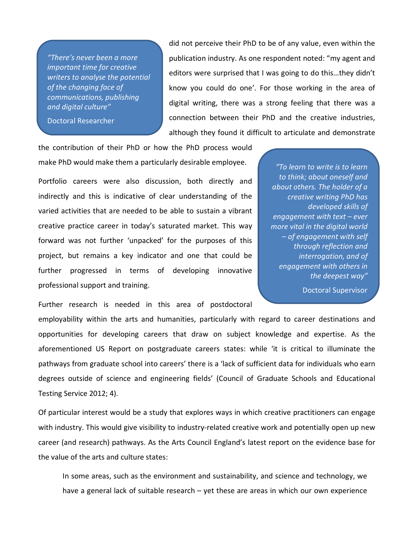*"There's never been a more important time for creative writers to analyse the potential of the changing face of communications, publishing and digital culture"*

Doctoral Researcher

did not perceive their PhD to be of any value, even within the publication industry. As one respondent noted: "my agent and editors were surprised that I was going to do this…they didn't know you could do one'. For those working in the area of digital writing, there was a strong feeling that there was a connection between their PhD and the creative industries, although they found it difficult to articulate and demonstrate

the contribution of their PhD or how the PhD process would make PhD would make them a particularly desirable employee.

Portfolio careers were also discussion, both directly and indirectly and this is indicative of clear understanding of the varied activities that are needed to be able to sustain a vibrant creative practice career in today's saturated market. This way forward was not further 'unpacked' for the purposes of this project, but remains a key indicator and one that could be further progressed in terms of developing innovative professional support and training.

*"To learn to write is to learn to think; about oneself and about others. The holder of a creative writing PhD has developed skills of engagement with text – ever more vital in the digital world – of engagement with self through reflection and interrogation, and of engagement with others in the deepest way"*

Doctoral Supervisor

Further research is needed in this area of postdoctoral

employability within the arts and humanities, particularly with regard to career destinations and opportunities for developing careers that draw on subject knowledge and expertise. As the aforementioned US Report on postgraduate careers states: while 'it is critical to illuminate the pathways from graduate school into careers' there is a 'lack of sufficient data for individuals who earn degrees outside of science and engineering fields' (Council of Graduate Schools and Educational Testing Service 2012; 4).

Of particular interest would be a study that explores ways in which creative practitioners can engage with industry. This would give visibility to industry-related creative work and potentially open up new career (and research) pathways. As the Arts Council England's latest report on the evidence base for the value of the arts and culture states:

In some areas, such as the environment and sustainability, and science and technology, we have a general lack of suitable research – yet these are areas in which our own experience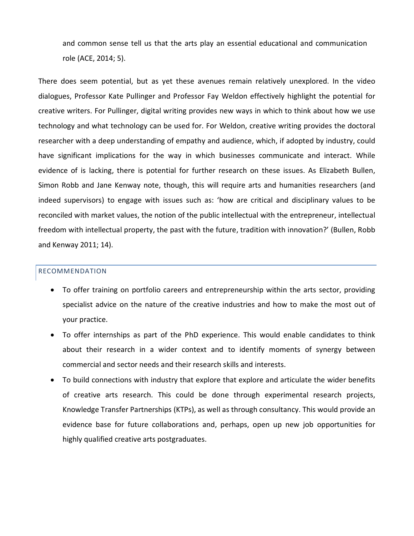and common sense tell us that the arts play an essential educational and communication role (ACE, 2014; 5).

There does seem potential, but as yet these avenues remain relatively unexplored. In the video dialogues, Professor Kate Pullinger and Professor Fay Weldon effectively highlight the potential for creative writers. For Pullinger, digital writing provides new ways in which to think about how we use technology and what technology can be used for. For Weldon, creative writing provides the doctoral researcher with a deep understanding of empathy and audience, which, if adopted by industry, could have significant implications for the way in which businesses communicate and interact. While evidence of is lacking, there is potential for further research on these issues. As Elizabeth Bullen, Simon Robb and Jane Kenway note, though, this will require arts and humanities researchers (and indeed supervisors) to engage with issues such as: 'how are critical and disciplinary values to be reconciled with market values, the notion of the public intellectual with the entrepreneur, intellectual freedom with intellectual property, the past with the future, tradition with innovation?' (Bullen, Robb and Kenway 2011; 14).

#### RECOMMENDATION

- To offer training on portfolio careers and entrepreneurship within the arts sector, providing specialist advice on the nature of the creative industries and how to make the most out of your practice.
- To offer internships as part of the PhD experience. This would enable candidates to think about their research in a wider context and to identify moments of synergy between commercial and sector needs and their research skills and interests.
- To build connections with industry that explore that explore and articulate the wider benefits of creative arts research. This could be done through experimental research projects, Knowledge Transfer Partnerships (KTPs), as well as through consultancy. This would provide an evidence base for future collaborations and, perhaps, open up new job opportunities for highly qualified creative arts postgraduates.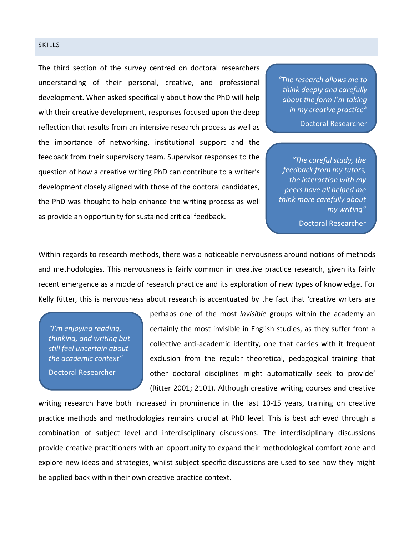#### **SKILLS**

The third section of the survey centred on doctoral researchers understanding of their personal, creative, and professional development. When asked specifically about how the PhD will help with their creative development, responses focused upon the deep reflection that results from an intensive research process as well as the importance of networking, institutional support and the feedback from their supervisory team. Supervisor responses to the question of how a creative writing PhD can contribute to a writer's development closely aligned with those of the doctoral candidates, the PhD was thought to help enhance the writing process as well as provide an opportunity for sustained critical feedback.

*"The research allows me to think deeply and carefully about the form I'm taking in my creative practice"*

Doctoral Researcher

*"The careful study, the feedback from my tutors, the interaction with my peers have all helped me think more carefully about my writing"*

Doctoral Researcher

Within regards to research methods, there was a noticeable nervousness around notions of methods and methodologies. This nervousness is fairly common in creative practice research, given its fairly recent emergence as a mode of research practice and its exploration of new types of knowledge. For Kelly Ritter, this is nervousness about research is accentuated by the fact that 'creative writers are

*"I'm enjoying reading, thinking, and writing but still feel uncertain about the academic context"*

Doctoral Researcher

perhaps one of the most *invisible* groups within the academy an certainly the most invisible in English studies, as they suffer from a collective anti-academic identity, one that carries with it frequent exclusion from the regular theoretical, pedagogical training that other doctoral disciplines might automatically seek to provide' (Ritter 2001; 2101). Although creative writing courses and creative

writing research have both increased in prominence in the last 10-15 years, training on creative practice methods and methodologies remains crucial at PhD level. This is best achieved through a combination of subject level and interdisciplinary discussions. The interdisciplinary discussions provide creative practitioners with an opportunity to expand their methodological comfort zone and explore new ideas and strategies, whilst subject specific discussions are used to see how they might be applied back within their own creative practice context.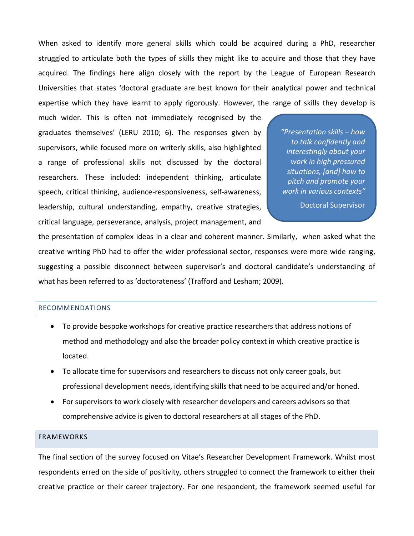When asked to identify more general skills which could be acquired during a PhD, researcher struggled to articulate both the types of skills they might like to acquire and those that they have acquired. The findings here align closely with the report by the League of European Research Universities that states 'doctoral graduate are best known for their analytical power and technical expertise which they have learnt to apply rigorously. However, the range of skills they develop is

much wider. This is often not immediately recognised by the graduates themselves' (LERU 2010; 6). The responses given by supervisors, while focused more on writerly skills, also highlighted a range of professional skills not discussed by the doctoral researchers. These included: independent thinking, articulate speech, critical thinking, audience-responsiveness, self-awareness, leadership, cultural understanding, empathy, creative strategies, critical language, perseverance, analysis, project management, and

*"Presentation skills – how to talk confidently and interestingly about your work in high pressured situations, [and] how to pitch and promote your work in various contexts"*

Doctoral Supervisor

the presentation of complex ideas in a clear and coherent manner. Similarly, when asked what the creative writing PhD had to offer the wider professional sector, responses were more wide ranging, suggesting a possible disconnect between supervisor's and doctoral candidate's understanding of what has been referred to as 'doctorateness' (Trafford and Lesham; 2009).

## RECOMMENDATIONS

- To provide bespoke workshops for creative practice researchers that address notions of method and methodology and also the broader policy context in which creative practice is located.
- To allocate time for supervisors and researchers to discuss not only career goals, but professional development needs, identifying skills that need to be acquired and/or honed.
- For supervisors to work closely with researcher developers and careers advisors so that comprehensive advice is given to doctoral researchers at all stages of the PhD.

## FRAMEWORKS

The final section of the survey focused on Vitae's Researcher Development Framework. Whilst most respondents erred on the side of positivity, others struggled to connect the framework to either their creative practice or their career trajectory. For one respondent, the framework seemed useful for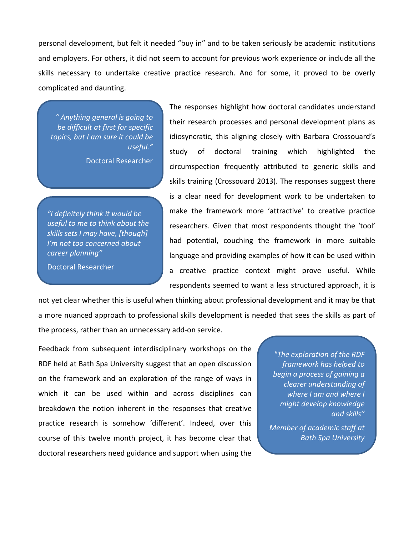personal development, but felt it needed "buy in" and to be taken seriously be academic institutions and employers. For others, it did not seem to account for previous work experience or include all the skills necessary to undertake creative practice research. And for some, it proved to be overly complicated and daunting.

*" Anything general is going to be difficult at first for specific topics, but I am sure it could be useful."*

Doctoral Researcher

*"I definitely think it would be useful to me to think about the skills sets I may have, [though] I'm not too concerned about career planning"*

Doctoral Researcher

The responses highlight how doctoral candidates understand their research processes and personal development plans as idiosyncratic, this aligning closely with Barbara Crossouard's study of doctoral training which highlighted the circumspection frequently attributed to generic skills and skills training (Crossouard 2013). The responses suggest there is a clear need for development work to be undertaken to make the framework more 'attractive' to creative practice researchers. Given that most respondents thought the 'tool' had potential, couching the framework in more suitable language and providing examples of how it can be used within a creative practice context might prove useful. While respondents seemed to want a less structured approach, it is

not yet clear whether this is useful when thinking about professional development and it may be that a more nuanced approach to professional skills development is needed that sees the skills as part of the process, rather than an unnecessary add-on service.

Feedback from subsequent interdisciplinary workshops on the RDF held at Bath Spa University suggest that an open discussion on the framework and an exploration of the range of ways in which it can be used within and across disciplines can breakdown the notion inherent in the responses that creative practice research is somehow 'different'. Indeed, over this course of this twelve month project, it has become clear that doctoral researchers need guidance and support when using the

*"The exploration of the RDF framework has helped to begin a process of gaining a clearer understanding of where I am and where I might develop knowledge and skills"*

*Member of academic staff at Bath Spa University*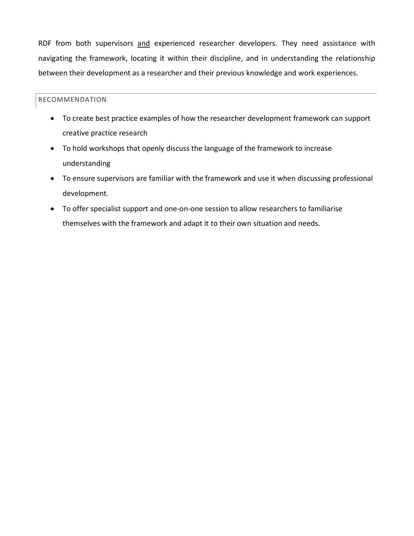RDF from both supervisors and experienced researcher developers. They need assistance with navigating the framework, locating it within their discipline, and in understanding the relationship between their development as a researcher and their previous knowledge and work experiences.

# RECOMMENDATION

- To create best practice examples of how the researcher development framework can support creative practice research
- To hold workshops that openly discuss the language of the framework to increase understanding
- To ensure supervisors are familiar with the framework and use it when discussing professional development.
- To offer specialist support and one-on-one session to allow researchers to familiarise themselves with the framework and adapt it to their own situation and needs.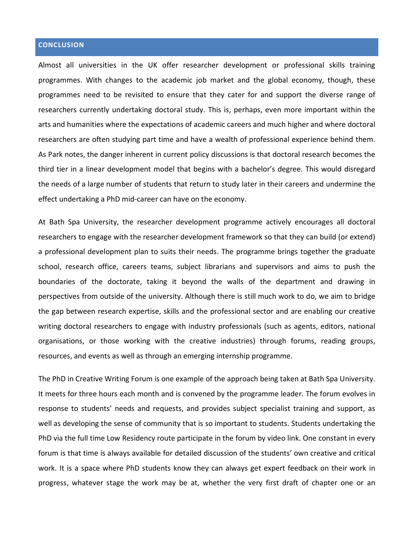# **CONCLUSION**

Almost all universities in the UK offer researcher development or professional skills training programmes. With changes to the academic job market and the global economy, though, these programmes need to be revisited to ensure that they cater for and support the diverse range of researchers currently undertaking doctoral study. This is, perhaps, even more important within the arts and humanities where the expectations of academic careers and much higher and where doctoral researchers are often studying part time and have a wealth of professional experience behind them. As Park notes, the danger inherent in current policy discussions is that doctoral research becomes the third tier in a linear development model that begins with a bachelor's degree. This would disregard the needs of a large number of students that return to study later in their careers and undermine the effect undertaking a PhD mid-career can have on the economy.

At Bath Spa University, the researcher development programme actively encourages all doctoral researchers to engage with the researcher development framework so that they can build (or extend) a professional development plan to suits their needs. The programme brings together the graduate school, research office, careers teams, subject librarians and supervisors and aims to push the boundaries of the doctorate, taking it beyond the walls of the department and drawing in perspectives from outside of the university. Although there is still much work to do, we aim to bridge the gap between research expertise, skills and the professional sector and are enabling our creative writing doctoral researchers to engage with industry professionals (such as agents, editors, national organisations, or those working with the creative industries) through forums, reading groups, resources, and events as well as through an emerging internship programme.

The PhD in Creative Writing Forum is one example of the approach being taken at Bath Spa University. It meets for three hours each month and is convened by the programme leader. The forum evolves in response to students' needs and requests, and provides subject specialist training and support, as well as developing the sense of community that is so important to students. Students undertaking the PhD via the full time Low Residency route participate in the forum by video link. One constant in every forum is that time is always available for detailed discussion of the students' own creative and critical work. It is a space where PhD students know they can always get expert feedback on their work in progress, whatever stage the work may be at, whether the very first draft of chapter one or an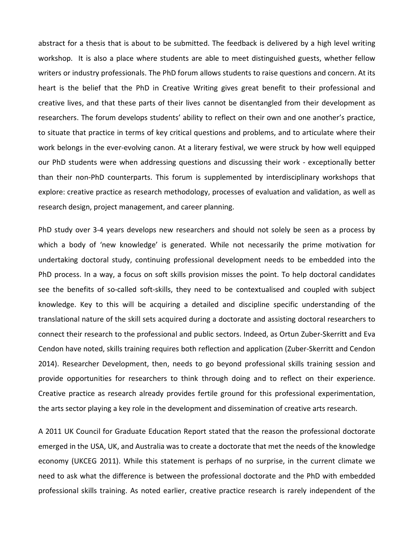abstract for a thesis that is about to be submitted. The feedback is delivered by a high level writing workshop. It is also a place where students are able to meet distinguished guests, whether fellow writers or industry professionals. The PhD forum allows students to raise questions and concern. At its heart is the belief that the PhD in Creative Writing gives great benefit to their professional and creative lives, and that these parts of their lives cannot be disentangled from their development as researchers. The forum develops students' ability to reflect on their own and one another's practice, to situate that practice in terms of key critical questions and problems, and to articulate where their work belongs in the ever-evolving canon. At a literary festival, we were struck by how well equipped our PhD students were when addressing questions and discussing their work - exceptionally better than their non-PhD counterparts. This forum is supplemented by interdisciplinary workshops that explore: creative practice as research methodology, processes of evaluation and validation, as well as research design, project management, and career planning.

PhD study over 3-4 years develops new researchers and should not solely be seen as a process by which a body of 'new knowledge' is generated. While not necessarily the prime motivation for undertaking doctoral study, continuing professional development needs to be embedded into the PhD process. In a way, a focus on soft skills provision misses the point. To help doctoral candidates see the benefits of so-called soft-skills, they need to be contextualised and coupled with subject knowledge. Key to this will be acquiring a detailed and discipline specific understanding of the translational nature of the skill sets acquired during a doctorate and assisting doctoral researchers to connect their research to the professional and public sectors. Indeed, as Ortun Zuber-Skerritt and Eva Cendon have noted, skills training requires both reflection and application (Zuber-Skerritt and Cendon 2014). Researcher Development, then, needs to go beyond professional skills training session and provide opportunities for researchers to think through doing and to reflect on their experience. Creative practice as research already provides fertile ground for this professional experimentation, the arts sector playing a key role in the development and dissemination of creative arts research.

A 2011 UK Council for Graduate Education Report stated that the reason the professional doctorate emerged in the USA, UK, and Australia was to create a doctorate that met the needs of the knowledge economy (UKCEG 2011). While this statement is perhaps of no surprise, in the current climate we need to ask what the difference is between the professional doctorate and the PhD with embedded professional skills training. As noted earlier, creative practice research is rarely independent of the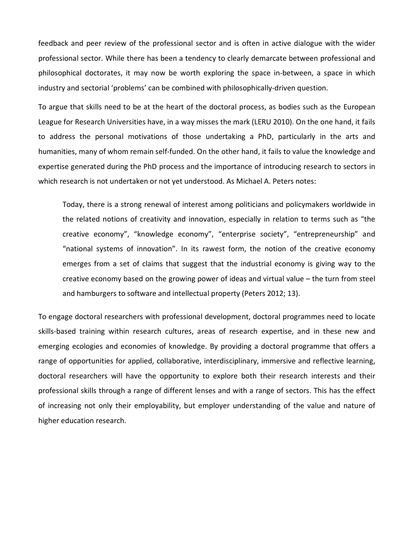feedback and peer review of the professional sector and is often in active dialogue with the wider professional sector. While there has been a tendency to clearly demarcate between professional and philosophical doctorates, it may now be worth exploring the space in-between, a space in which industry and sectorial 'problems' can be combined with philosophically-driven question.

To argue that skills need to be at the heart of the doctoral process, as bodies such as the European League for Research Universities have, in a way misses the mark (LERU 2010). On the one hand, it fails to address the personal motivations of those undertaking a PhD, particularly in the arts and humanities, many of whom remain self-funded. On the other hand, it fails to value the knowledge and expertise generated during the PhD process and the importance of introducing research to sectors in which research is not undertaken or not yet understood. As Michael A. Peters notes:

Today, there is a strong renewal of interest among politicians and policymakers worldwide in the related notions of creativity and innovation, especially in relation to terms such as "the creative economy", "knowledge economy", "enterprise society", "entrepreneurship" and "national systems of innovation". In its rawest form, the notion of the creative economy emerges from a set of claims that suggest that the industrial economy is giving way to the creative economy based on the growing power of ideas and virtual value – the turn from steel and hamburgers to software and intellectual property (Peters 2012; 13).

To engage doctoral researchers with professional development, doctoral programmes need to locate skills-based training within research cultures, areas of research expertise, and in these new and emerging ecologies and economies of knowledge. By providing a doctoral programme that offers a range of opportunities for applied, collaborative, interdisciplinary, immersive and reflective learning, doctoral researchers will have the opportunity to explore both their research interests and their professional skills through a range of different lenses and with a range of sectors. This has the effect of increasing not only their employability, but employer understanding of the value and nature of higher education research.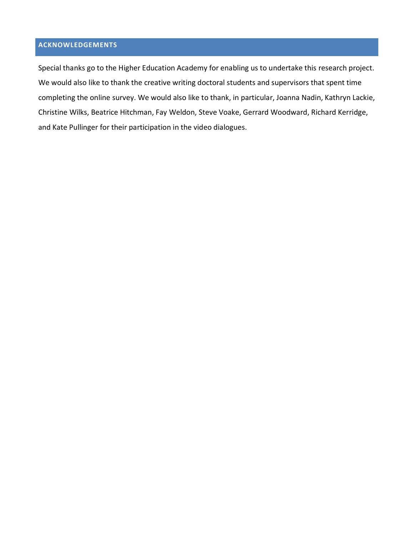# **ACKNOWLEDGEMENTS**

Special thanks go to the Higher Education Academy for enabling us to undertake this research project. We would also like to thank the creative writing doctoral students and supervisors that spent time completing the online survey. We would also like to thank, in particular, Joanna Nadin, Kathryn Lackie, Christine Wilks, Beatrice Hitchman, Fay Weldon, Steve Voake, Gerrard Woodward, Richard Kerridge, and Kate Pullinger for their participation in the video dialogues.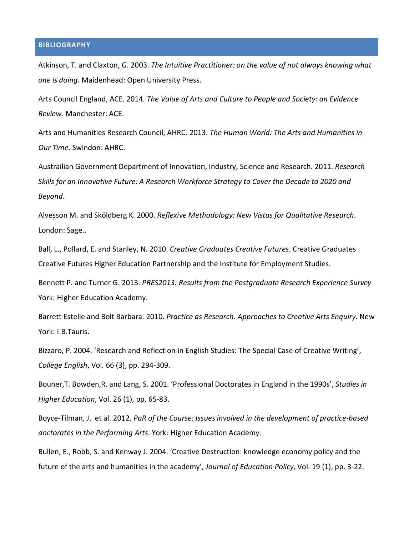## **BIBLIOGRAPHY**

Atkinson, T. and Claxton, G. 2003. *The Intuitive Practitioner: on the value of not always knowing what one is doing*. Maidenhead: Open University Press.

Arts Council England, ACE. 2014. *[The Value of Arts and Culture to People and Society: an Evidence](http://www.artscouncil.org.uk/media/uploads/pdf/The-value-of-arts-and-culture-to-people-and-society-An-evidence-review-TWO.pdf)  [Review](http://www.artscouncil.org.uk/media/uploads/pdf/The-value-of-arts-and-culture-to-people-and-society-An-evidence-review-TWO.pdf)*. Manchester: ACE.

Arts and Humanities Research Council, [A](http://www.ahrc.ac.uk/News-and-Events/News/Pages/AHRC-Strategy-2013-2018.aspx)HRC. 2013. *[The Human World: The Arts and Humanities in](http://www.ahrc.ac.uk/News-and-Events/News/Pages/AHRC-Strategy-2013-2018.aspx)  [Our Time](http://www.ahrc.ac.uk/News-and-Events/News/Pages/AHRC-Strategy-2013-2018.aspx)*. Swindon: AHRC.

Austrailian Government Department of Innovation, Industry, Science and Research. 2011. *[Research](https://www.industry.gov.au/Research/ResearchWorkforceIssues/Pages/Library%20Card/ResearchSkillsforanInnovativeFuture.aspx)  [Skills for an Innovative Future: A Research Workforce Strategy to Cover the Decade to 2020 and](https://www.industry.gov.au/Research/ResearchWorkforceIssues/Pages/Library%20Card/ResearchSkillsforanInnovativeFuture.aspx)  [Beyond](https://www.industry.gov.au/Research/ResearchWorkforceIssues/Pages/Library%20Card/ResearchSkillsforanInnovativeFuture.aspx)*.

Alvesson M. and Sköldberg K. 2000. *Reflexive Methodology: New Vistas for Qualitative Research*. London: Sage..

Ball, L., Pollard, E. and Stanley, N. 2010. *Creative Graduates Creative Futures*. Creative Graduates Creative Futures Higher Education Partnership and the Institute for Employment Studies.

Bennett P. and Turner G. 2013. *[PRES2013: Results from the Postgraduate Research Experience Survey](http://www.heacademy.ac.uk/resources/detail/postgraduate/PRES_2013_UK_report)* York: Higher Education Academy.

Barrett Estelle and Bolt Barbara. 2010. *Practice as Research. Approaches to Creative Arts Enquiry*. New York: I.B.Tauris.

Bizzaro, P. 2004. 'Research and Reflection in English Studies: The Special Case of Creative Writing', *College English*, Vol. 66 (3), pp. 294-309.

Bouner,T. Bowden,R. and Lang, S. 2001. 'Professional Doctorates in England in the 1990s', *Studies in Higher Education*, Vol. 26 (1), pp. 65-83.

Boyce-Tilman, J. et al. 2012. *PaR of the Course: Issues involved in the development of practice-based doctorates in the Performing Arts*. York: Higher Education Academy.

Bullen, E., Robb, S. and Kenway J. 2004. 'Creative Destruction: knowledge economy policy and the future of the arts and humanities in the academy', *Journal of Education Policy*, Vol. 19 (1), pp. 3-22.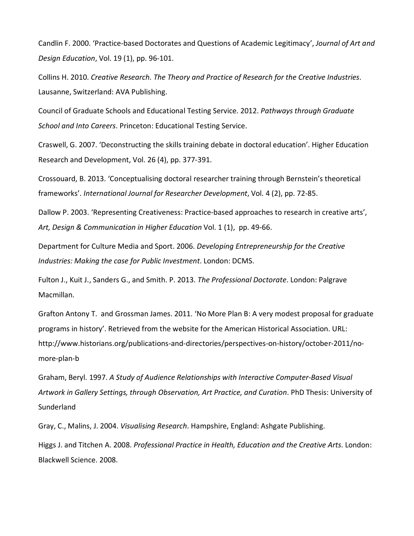Candlin F. 2000. 'Practice-based Doctorates and Questions of Academic Legitimacy', *Journal of Art and Design Education*, Vol. 19 (1), pp. 96-101.

Collins H. 2010. *Creative Research. The Theory and Practice of Research for the Creative Industries*. Lausanne, Switzerland: AVA Publishing.

Council of Graduate Schools and Educational Testing Service. [2](http://www.pathwaysreport.org/)012. *[Pathways through](http://www.pathwaysreport.org/) Graduate [School and Into Careers](http://www.pathwaysreport.org/)*. Princeton: Educational Testing Service.

Craswell, G. 2007. 'Deconstructing the skills training debate in doctoral education'. Higher Education Research and Development, Vol. 26 (4), pp. 377-391.

Crossouard, B. 2013. 'Conceptualising doctoral researcher training through Bernstein's theoretical frameworks'. *International Journal for Researcher Development*, Vol. 4 (2), pp. 72-85.

Dallow P. 2003. 'Representing Creativeness: Practice-based approaches to research in creative arts', *Art, Design & Communication in Higher Education* Vol. 1 (1), pp. 49-66.

Department for Culture Media and Sport. 2006. *Developing Entrepreneurship for the Creative Industries: Making the case for Public Investment*. London: DCMS.

Fulton J., Kuit J., Sanders G., and Smith. P. 2013. *The Professional Doctorate*. London: Palgrave Macmillan.

Grafton Antony T. and Grossman James. 2011. 'No More Plan B: A very modest proposal for graduate programs in history'. Retrieved from the [w](http://www.historians.org/perspectives/issues/2011/1110/1110pre1.cfm)ebsite for the American Historical Association. URL: http://www.historians.org/publications-and-directories/perspectives-on-history/october-2011/nomore-plan-b

Graham, Beryl. 1997. *A Study of Audience Relationships with Interactive Computer-Based Visual Artwork in Gallery Settings, through Observation, Art Practice, and Curation*. PhD Thesis: University of Sunderland

Gray, C., Malins, J. 2004. *Visualising Research*. Hampshire, England: Ashgate Publishing.

Higgs J. and Titchen A. 2008. *Professional Practice in Health, Education and the Creative Arts*. London: Blackwell Science. 2008.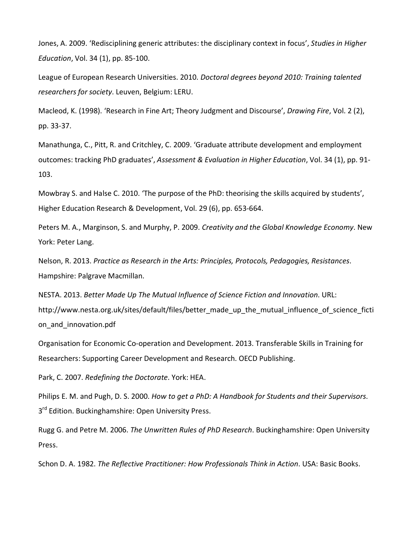Jones, A. 2009. 'Redisciplining generic attributes: the disciplinary context in focus', *Studies in Higher Education*, Vol. 34 (1), pp. 85-100.

League of European Research Universities. 2010. *[Doctoral degrees beyond 2010: Training talented](http://www.grc.uzh.ch/coordinators/quality/LERU_beyond_2010.pdf)  [researchers for society](http://www.grc.uzh.ch/coordinators/quality/LERU_beyond_2010.pdf)*. Leuven, Belgium: LERU.

Macleod, K. (1998). 'Research in Fine Art; Theory Judgment and Discourse', *Drawing Fire*, Vol. 2 (2), pp. 33-37.

Manathunga, C., Pitt, R. and Critchley, C. 2009. 'Graduate attribute development and employment outcomes: tracking PhD graduates', *Assessment & Evaluation in Higher Education*, Vol. 34 (1), pp. 91- 103.

Mowbray S. and Halse C. 2010. 'The purpose of the PhD: theorising the skills acquired by students', Higher Education Research & Development, Vol. 29 (6), pp. 653-664.

Peters M. A., Marginson, S. and Murphy, P. 2009. *Creativity and the Global Knowledge Economy*. New York: Peter Lang.

Nelson, R. 2013. *Practice as Research in the Arts: Principles, Protocols, Pedagogies, Resistances*. Hampshire: Palgrave Macmillan.

NESTA. 2013. *[B](http://www.nesta.org.uk/publications/better-made-mutual-influence-science-fiction-and-innovation#sthash.2YyrBmfR.dpuf)etter Made Up The Mutual Influence of Science Fiction and Innovation*. URL: http://www.nesta.org.uk/sites/default/files/better made up the mutual influence of science ficti on\_and\_innovation.pdf

Organisation for Economic Co-operation and Development. 2013. Transferable Skills in Training for Researchers: Supporting Career Development and Research. OECD Publishing.

Park, C. 2007. *Redefining the Doctorate*. York: HEA.

Philips E. M. and Pugh, D. S. 2000. *How to get a PhD: A Handbook for Students and their Supervisors*. 3<sup>rd</sup> Edition. Buckinghamshire: Open University Press.

Rugg G. and Petre M. 2006. *The Unwritten Rules of PhD Research*. Buckinghamshire: Open University Press.

Schon D. A. 1982. *The Reflective Practitioner: How Professionals Think in Action*. USA: Basic Books.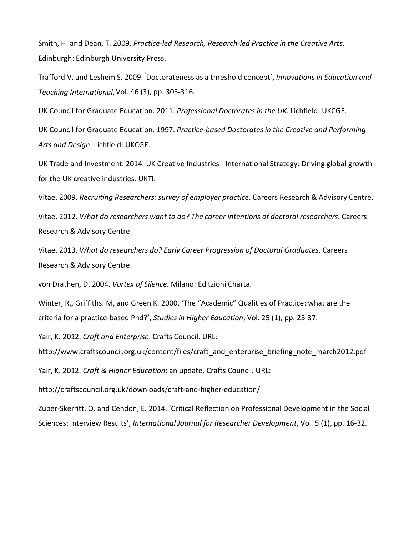Smith, H. and Dean, T. 2009. *Practice-led Research, Research-led Practice in the Creative Arts*. Edinburgh: Edinburgh University Press.

Trafford V. and Leshem S. 2009. ' Doctorateness as a threshold concept', *Innovations in Education and Teaching International*,Vol. 46 (3), pp. 305-316.

UK Council for Graduate Education. 2011. *[P](https://www.ukcge.ac.uk/sub.php?main=resources&sub=publications&publication=Professional%20Doctorates%20in%20the%20UK%20(2011))rofessional Doctorates in the UK*. Lichfield: UKCGE.

UK Council for Graduate Education. 1997. *Practice-based Doctorates in the Creative and Performing Arts and Design*. Lichfield: UKCGE.

UK Trade and Investment. 2014. UK Creative Industries - International Strategy: Driving global growth for the UK creative industries. UKTI.

Vitae. 2009. *[R](https://www.vitae.ac.uk/vitae-publications/reports/wdrwtd-the-career-intentions-of-doctoral-graduates-feb12.pdf)ecruiting Researchers: survey of employer practice*. Careers Research & Advisory Centre.

Vitae. 2012. *[W](https://www.vitae.ac.uk/vitae-publications/reports/wdrwtd-the-career-intentions-of-doctoral-graduates-feb12.pdf)hat do researchers want to do? The career intentions of doctoral researchers*. Careers Research & Advisory Centre.

Vitae. 2013. *[W](https://www.vitae.ac.uk/vitae-publications/reports/wdrwtd-the-career-intentions-of-doctoral-graduates-feb12.pdf)hat do researchers do? Early Career Progression of Doctoral Graduates*. Careers Research & Advisory Centre.

von Drathen, D. 2004. *Vortex of Silence*. Milano: Editzioni Charta.

Winter, R., Griffiths. M, and Green K. 2000. 'The "Academic" Qualities of Practice: what are the criteria for a practice-based Phd?', *Studies in Higher Education*, Vol. 25 (1), pp. 25-37.

Yair, K. 2012. *Craft and Enterprise*. Crafts Council. URL:

http://www.craftscouncil.org.uk/content/files/craft and enterprise briefing note march2012.pdf

Yair, K. 2012. *Craft & Higher Education*: an update. Crafts Council. URL:

http://craftscouncil.org.uk/downloads/craft-and-higher-education/

Zuber-Skerritt, O. and Cendon, E. 2014. 'Critical Reflection on Professional Development in the Social Sciences: Interview Results', *International Journal for Researcher Development*, Vol. 5 (1), pp. 16-32.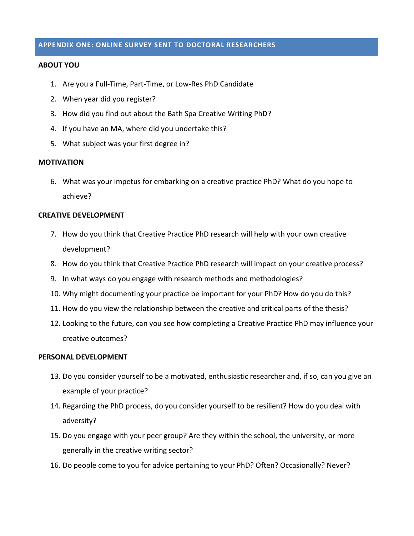# **APPENDIX ONE: ONLINE SURVEY SENT TO DOCTORAL RESEARCHERS**

## **ABOUT YOU**

- 1. Are you a Full-Time, Part-Time, or Low-Res PhD Candidate
- 2. When year did you register?
- 3. How did you find out about the Bath Spa Creative Writing PhD?
- 4. If you have an MA, where did you undertake this?
- 5. What subject was your first degree in?

## **MOTIVATION**

6. What was your impetus for embarking on a creative practice PhD? What do you hope to achieve?

## **CREATIVE DEVELOPMENT**

- 7. How do you think that Creative Practice PhD research will help with your own creative development?
- 8. How do you think that Creative Practice PhD research will impact on your creative process?
- 9. In what ways do you engage with research methods and methodologies?
- 10. Why might documenting your practice be important for your PhD? How do you do this?
- 11. How do you view the relationship between the creative and critical parts of the thesis?
- 12. Looking to the future, can you see how completing a Creative Practice PhD may influence your creative outcomes?

## **PERSONAL DEVELOPMENT**

- 13. Do you consider yourself to be a motivated, enthusiastic researcher and, if so, can you give an example of your practice?
- 14. Regarding the PhD process, do you consider yourself to be resilient? How do you deal with adversity?
- 15. Do you engage with your peer group? Are they within the school, the university, or more generally in the creative writing sector?
- 16. Do people come to you for advice pertaining to your PhD? Often? Occasionally? Never?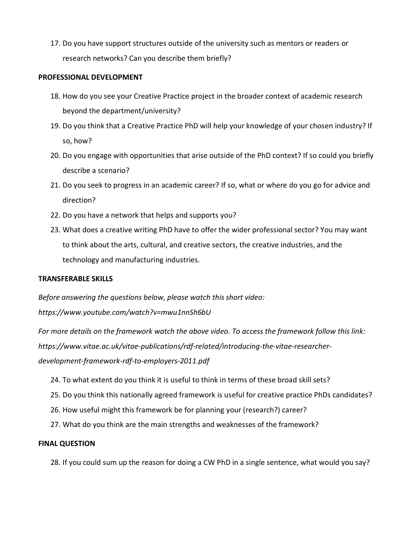17. Do you have support structures outside of the university such as mentors or readers or research networks? Can you describe them briefly?

## **PROFESSIONAL DEVELOPMENT**

- 18. How do you see your Creative Practice project in the broader context of academic research beyond the department/university?
- 19. Do you think that a Creative Practice PhD will help your knowledge of your chosen industry? If so, how?
- 20. Do you engage with opportunities that arise outside of the PhD context? If so could you briefly describe a scenario?
- 21. Do you seek to progress in an academic career? If so, what or where do you go for advice and direction?
- 22. Do you have a network that helps and supports you?
- 23. What does a creative writing PhD have to offer the wider professional sector? You may want to think about the arts, cultural, and creative sectors, the creative industries, and the technology and manufacturing industries.

# **TRANSFERABLE SKILLS**

*Before answering the questions below, please watch this short video:* 

*https://www.youtube.com/watch?v=mwu1nnSh6bU* 

*For more details on the framework watch the above video. To access the framework follow this link: https://www.vitae.ac.uk/vitae-publications/rdf-related/introducing-the-vitae-researcherdevelopment-framework-rdf-to-employers-2011.pdf*

- 24. To what extent do you think it is useful to think in terms of these broad skill sets?
- 25. Do you think this nationally agreed framework is useful for creative practice PhDs candidates?
- 26. How useful might this framework be for planning your (research?) career?
- 27. What do you think are the main strengths and weaknesses of the framework?

# **FINAL QUESTION**

28. If you could sum up the reason for doing a CW PhD in a single sentence, what would you say?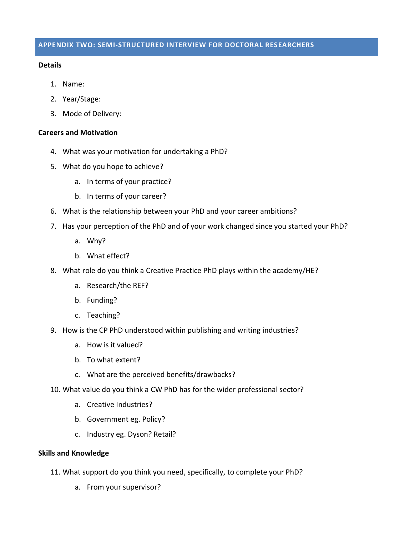## **Details**

- 1. Name:
- 2. Year/Stage:
- 3. Mode of Delivery:

## **Careers and Motivation**

- 4. What was your motivation for undertaking a PhD?
- 5. What do you hope to achieve?
	- a. In terms of your practice?
	- b. In terms of your career?
- 6. What is the relationship between your PhD and your career ambitions?
- 7. Has your perception of the PhD and of your work changed since you started your PhD?
	- a. Why?
	- b. What effect?
- 8. What role do you think a Creative Practice PhD plays within the academy/HE?
	- a. Research/the REF?
	- b. Funding?
	- c. Teaching?
- 9. How is the CP PhD understood within publishing and writing industries?
	- a. How is it valued?
	- b. To what extent?
	- c. What are the perceived benefits/drawbacks?
- 10. What value do you think a CW PhD has for the wider professional sector?
	- a. Creative Industries?
	- b. Government eg. Policy?
	- c. Industry eg. Dyson? Retail?

# **Skills and Knowledge**

- 11. What support do you think you need, specifically, to complete your PhD?
	- a. From your supervisor?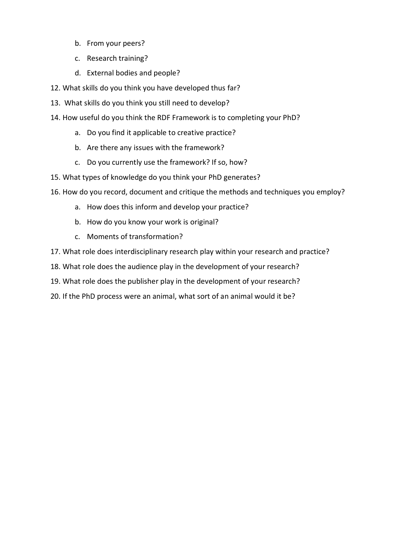- b. From your peers?
- c. Research training?
- d. External bodies and people?
- 12. What skills do you think you have developed thus far?
- 13. What skills do you think you still need to develop?
- 14. How useful do you think the RDF Framework is to completing your PhD?
	- a. Do you find it applicable to creative practice?
	- b. Are there any issues with the framework?
	- c. Do you currently use the framework? If so, how?
- 15. What types of knowledge do you think your PhD generates?
- 16. How do you record, document and critique the methods and techniques you employ?
	- a. How does this inform and develop your practice?
	- b. How do you know your work is original?
	- c. Moments of transformation?
- 17. What role does interdisciplinary research play within your research and practice?
- 18. What role does the audience play in the development of your research?
- 19. What role does the publisher play in the development of your research?
- 20. If the PhD process were an animal, what sort of an animal would it be?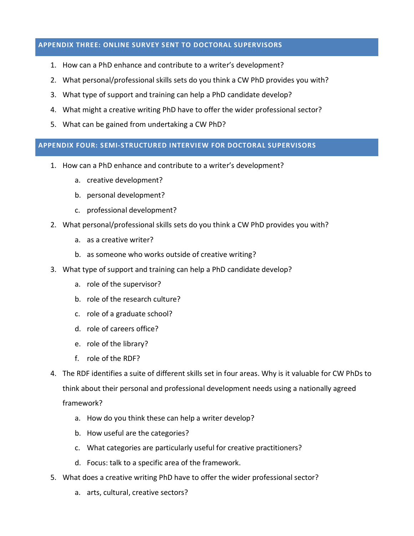# **APPENDIX THREE: ONLINE SURVEY SENT TO DOCTORAL SUPERVISORS**

- 1. How can a PhD enhance and contribute to a writer's development?
- 2. What personal/professional skills sets do you think a CW PhD provides you with?
- 3. What type of support and training can help a PhD candidate develop?
- 4. What might a creative writing PhD have to offer the wider professional sector?
- 5. What can be gained from undertaking a CW PhD?

# **APPENDIX FOUR: SEMI-STRUCTURED INTERVIEW FOR DOCTORAL SUPERVISORS**

- 1. How can a PhD enhance and contribute to a writer's development?
	- a. creative development?
	- b. personal development?
	- c. professional development?
- 2. What personal/professional skills sets do you think a CW PhD provides you with?
	- a. as a creative writer?
	- b. as someone who works outside of creative writing?
- 3. What type of support and training can help a PhD candidate develop?
	- a. role of the supervisor?
	- b. role of the research culture?
	- c. role of a graduate school?
	- d. role of careers office?
	- e. role of the library?
	- f. role of the RDF?
- 4. The RDF identifies a suite of different skills set in four areas. Why is it valuable for CW PhDs to think about their personal and professional development needs using a nationally agreed framework?
	- a. How do you think these can help a writer develop?
	- b. How useful are the categories?
	- c. What categories are particularly useful for creative practitioners?
	- d. Focus: talk to a specific area of the framework.
- 5. What does a creative writing PhD have to offer the wider professional sector?
	- a. arts, cultural, creative sectors?